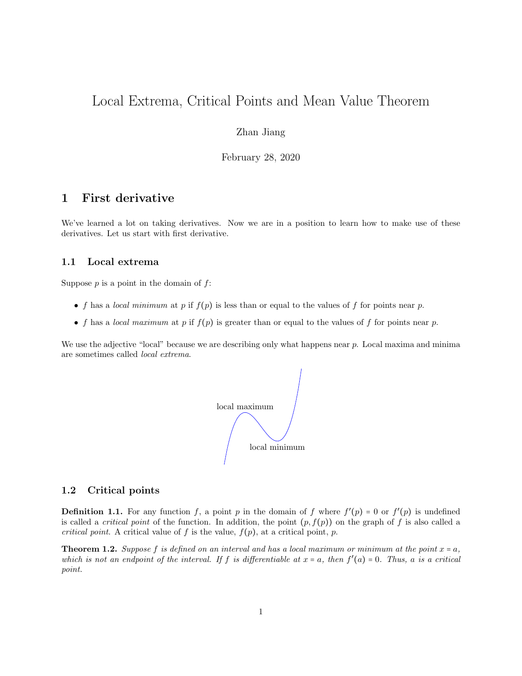# Local Extrema, Critical Points and Mean Value Theorem

#### Zhan Jiang

February 28, 2020

### 1 First derivative

We've learned a lot on taking derivatives. Now we are in a position to learn how to make use of these derivatives. Let us start with first derivative.

#### 1.1 Local extrema

Suppose  $p$  is a point in the domain of  $f$ :

- f has a local minimum at p if  $f(p)$  is less than or equal to the values of f for points near p.
- f has a local maximum at p if  $f(p)$  is greater than or equal to the values of f for points near p.

We use the adjective "local" because we are describing only what happens near p. Local maxima and minima are sometimes called local extrema.



#### 1.2 Critical points

**Definition 1.1.** For any function f, a point p in the domain of f where  $f'(p) = 0$  or  $f'(p)$  is undefined is called a *critical point* of the function. In addition, the point  $(p, f(p))$  on the graph of f is also called a critical point. A critical value of f is the value,  $f(p)$ , at a critical point, p.

**Theorem 1.2.** Suppose f is defined on an interval and has a local maximum or minimum at the point  $x = a$ , which is not an endpoint of the interval. If f is differentiable at  $x = a$ , then  $f'(a) = 0$ . Thus, a is a critical point.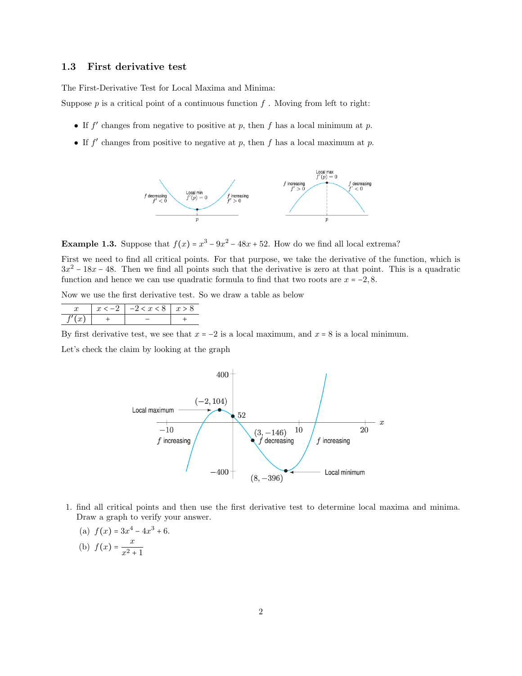#### 1.3 First derivative test

The First-Derivative Test for Local Maxima and Minima:

Suppose  $p$  is a critical point of a continuous function  $f$ . Moving from left to right:

- If  $f'$  changes from negative to positive at p, then f has a local minimum at p.
- If  $f'$  changes from positive to negative at p, then f has a local maximum at p.



**Example 1.3.** Suppose that  $f(x) = x^3 - 9x^2 - 48x + 52$ . How do we find all local extrema?

First we need to find all critical points. For that purpose, we take the derivative of the function, which is  $3x^2 - 18x - 48$ . Then we find all points such that the derivative is zero at that point. This is a quadratic function and hence we can use quadratic formula to find that two roots are  $x = -2, 8$ .

Now we use the first derivative test. So we draw a table as below

|  | . $-2 < x < 8$ | IJ |
|--|----------------|----|
|  |                |    |

By first derivative test, we see that  $x = -2$  is a local maximum, and  $x = 8$  is a local minimum.

Let's check the claim by looking at the graph



- 1. find all critical points and then use the first derivative test to determine local maxima and minima. Draw a graph to verify your answer.
	- (a)  $f(x) = 3x^4 4x^3 + 6$ . (b)  $f(x) = \frac{x}{2}$

 $x^2 + 1$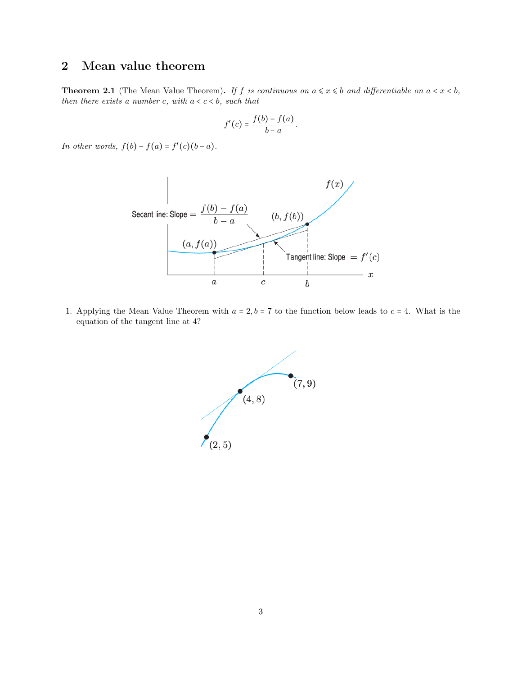## 2 Mean value theorem

**Theorem 2.1** (The Mean Value Theorem). If f is continuous on  $a \leq x \leq b$  and differentiable on  $a < x < b$ , then there exists a number c, with  $a < c < b$ , such that

$$
f'(c) = \frac{f(b) - f(a)}{b - a}.
$$

In other words,  $f(b) - f(a) = f'(c)(b - a)$ .



1. Applying the Mean Value Theorem with  $a = 2, b = 7$  to the function below leads to  $c = 4$ . What is the equation of the tangent line at 4?

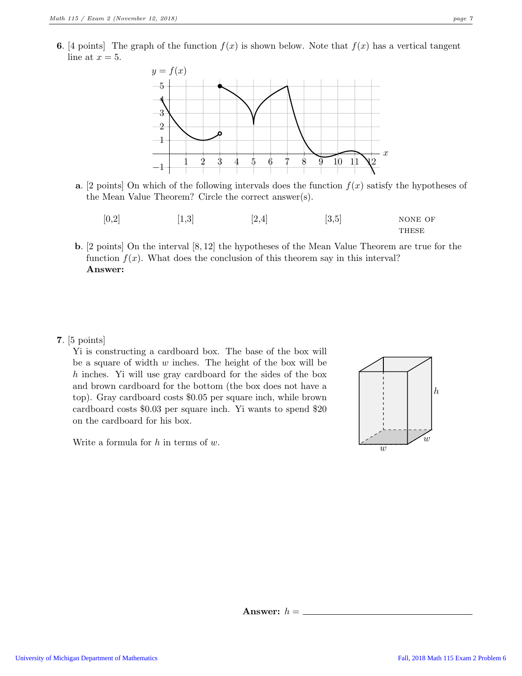**6.** [4 points] The graph of the function  $f(x)$  is shown below. Note that  $f(x)$  has a vertical tangent line at  $x = 5$ .



- a. [2 points] On which of the following intervals does the function  $f(x)$  satisfy the hypotheses of the Mean Value Theorem? Circle the correct answer(s).
	- $[0,2]$   $[1,3]$   $[2,4]$   $[3,5]$  none of **THESE**
- b. [2 points] On the interval [8, 12] the hypotheses of the Mean Value Theorem are true for the function  $f(x)$ . What does the conclusion of this theorem say in this interval? Answer:

#### 7. [5 points]

Yi is constructing a cardboard box. The base of the box will be a square of width  $w$  inches. The height of the box will be h inches. Yi will use gray cardboard for the sides of the box and brown cardboard for the bottom (the box does not have a top). Gray cardboard costs \$0.05 per square inch, while brown cardboard costs \$0.03 per square inch. Yi wants to spend \$20 on the cardboard for his box.



Write a formula for  $h$  in terms of  $w$ .